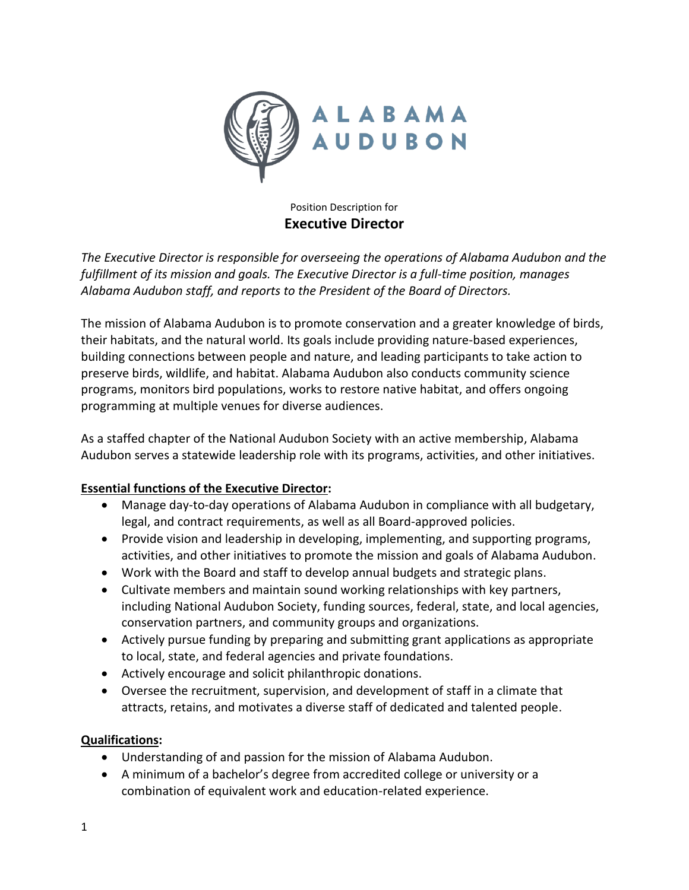

## Position Description for **Executive Director**

*The Executive Director is responsible for overseeing the operations of Alabama Audubon and the fulfillment of its mission and goals. The Executive Director is a full-time position, manages Alabama Audubon staff, and reports to the President of the Board of Directors.* 

The mission of Alabama Audubon is to promote conservation and a greater knowledge of birds, their habitats, and the natural world. Its goals include providing nature-based experiences, building connections between people and nature, and leading participants to take action to preserve birds, wildlife, and habitat. Alabama Audubon also conducts community science programs, monitors bird populations, works to restore native habitat, and offers ongoing programming at multiple venues for diverse audiences.

As a staffed chapter of the National Audubon Society with an active membership, Alabama Audubon serves a statewide leadership role with its programs, activities, and other initiatives.

## **Essential functions of the Executive Director:**

- Manage day-to-day operations of Alabama Audubon in compliance with all budgetary, legal, and contract requirements, as well as all Board-approved policies.
- Provide vision and leadership in developing, implementing, and supporting programs, activities, and other initiatives to promote the mission and goals of Alabama Audubon.
- Work with the Board and staff to develop annual budgets and strategic plans.
- Cultivate members and maintain sound working relationships with key partners, including National Audubon Society, funding sources, federal, state, and local agencies, conservation partners, and community groups and organizations.
- Actively pursue funding by preparing and submitting grant applications as appropriate to local, state, and federal agencies and private foundations.
- Actively encourage and solicit philanthropic donations.
- Oversee the recruitment, supervision, and development of staff in a climate that attracts, retains, and motivates a diverse staff of dedicated and talented people.

## **Qualifications:**

- Understanding of and passion for the mission of Alabama Audubon.
- A minimum of a bachelor's degree from accredited college or university or a combination of equivalent work and education-related experience.